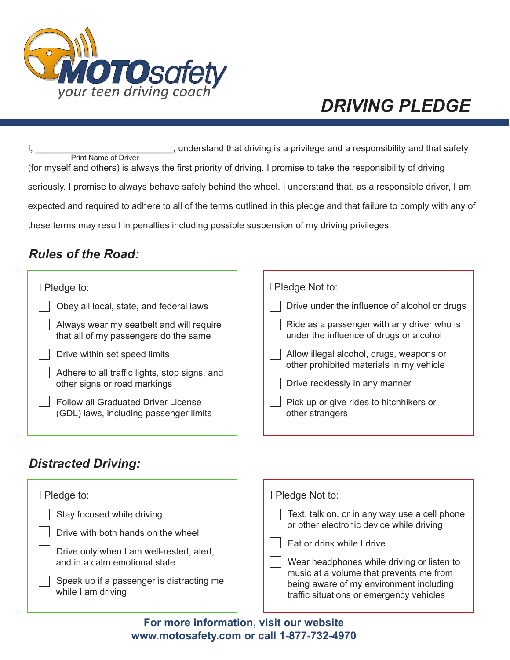

# *DRIVING PLEDGE*

I, \_\_\_\_\_\_\_\_\_\_\_\_\_\_\_\_\_\_\_\_\_\_\_\_\_\_\_\_\_, understand that driving is a privilege and a responsibility and that safety (for myself and others) is always the first priority of driving. I promise to take the responsibility of driving seriously. I promise to always behave safely behind the wheel. I understand that, as a responsible driver, I am expected and required to adhere to all of the terms outlined in this pledge and that failure to comply with any of these terms may result in penalties including possible suspension of my driving privileges. Print Name of Driver

## *Rules of the Road:*

| I Pledge to:                                                                         | I Pledge Not to:                                                                      |
|--------------------------------------------------------------------------------------|---------------------------------------------------------------------------------------|
|                                                                                      |                                                                                       |
| Obey all local, state, and federal laws                                              | Drive under the influence of alcohol or drugs                                         |
| Always wear my seatbelt and will require<br>that all of my passengers do the same    | Ride as a passenger with any driver who is<br>under the influence of drugs or alcohol |
| Drive within set speed limits                                                        | Allow illegal alcohol, drugs, weapons or                                              |
| Adhere to all traffic lights, stop signs, and                                        | other prohibited materials in my vehicle                                              |
| other signs or road markings                                                         | Drive recklessly in any manner                                                        |
| <b>Follow all Graduated Driver License</b><br>(GDL) laws, including passenger limits | Pick up or give rides to hitchhikers or<br>other strangers                            |
|                                                                                      |                                                                                       |

## *Distracted Driving:*

| I Pledge to:                                                                                                                                                                                                     | I Pledge Not to:                                                                                                                                                                                                                                                                                        |
|------------------------------------------------------------------------------------------------------------------------------------------------------------------------------------------------------------------|---------------------------------------------------------------------------------------------------------------------------------------------------------------------------------------------------------------------------------------------------------------------------------------------------------|
| Stay focused while driving<br>Drive with both hands on the wheel<br>Drive only when I am well-rested, alert,<br>and in a calm emotional state<br>Speak up if a passenger is distracting me<br>while I am driving | Text, talk on, or in any way use a cell phone<br>or other electronic device while driving<br>Eat or drink while I drive<br>Wear headphones while driving or listen to<br>music at a volume that prevents me from<br>being aware of my environment including<br>traffic situations or emergency vehicles |

**For more information, visit our website www.motosafety.com or call 1-877-732-4970**